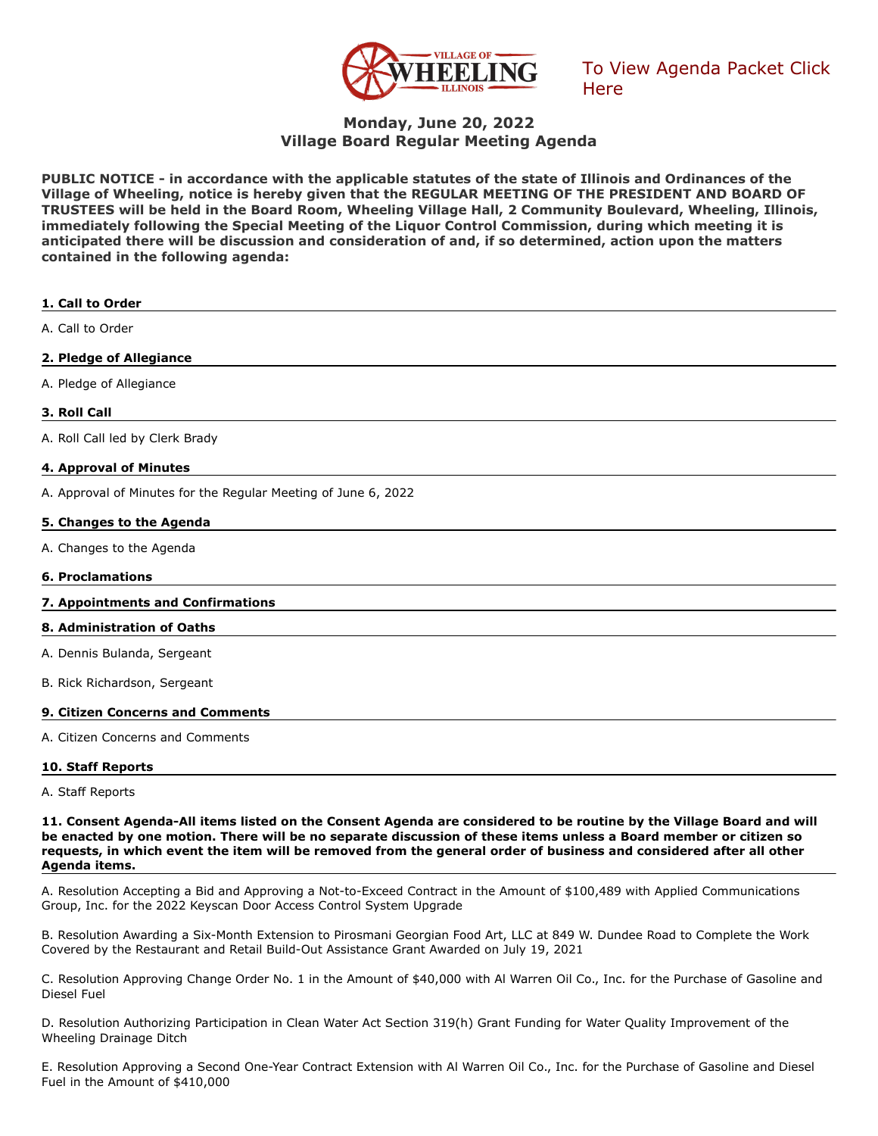

[To View Agenda Packet Click](http://go.boarddocs.com/il/vowil/Board.nsf/goto?open&id=CDVPDL61899A)  **Here** 

# **Monday, June 20, 2022 Village Board Regular Meeting Agenda**

**PUBLIC NOTICE - in accordance with the applicable statutes of the state of Illinois and Ordinances of the Village of Wheeling, notice is hereby given that the REGULAR MEETING OF THE PRESIDENT AND BOARD OF TRUSTEES will be held in the Board Room, Wheeling Village Hall, 2 Community Boulevard, Wheeling, Illinois, immediately following the Special Meeting of the Liquor Control Commission, during which meeting it is anticipated there will be discussion and consideration of and, if so determined, action upon the matters contained in the following agenda:**

| 1. Call to Order                                               |
|----------------------------------------------------------------|
| A. Call to Order                                               |
| 2. Pledge of Allegiance                                        |
| A. Pledge of Allegiance                                        |
| 3. Roll Call                                                   |
| A. Roll Call led by Clerk Brady                                |
| 4. Approval of Minutes                                         |
| A. Approval of Minutes for the Regular Meeting of June 6, 2022 |
| 5. Changes to the Agenda                                       |
| A. Changes to the Agenda                                       |
| <b>6. Proclamations</b>                                        |
| 7. Appointments and Confirmations                              |
| 8. Administration of Oaths                                     |
| A. Dennis Bulanda, Sergeant                                    |
| B. Rick Richardson, Sergeant                                   |
| 9. Citizen Concerns and Comments                               |
| A. Citizen Concerns and Comments                               |
| 10. Staff Reports                                              |
| A. Staff Reports                                               |

**11. Consent Agenda-All items listed on the Consent Agenda are considered to be routine by the Village Board and will be enacted by one motion. There will be no separate discussion of these items unless a Board member or citizen so requests, in which event the item will be removed from the general order of business and considered after all other Agenda items.**

A. Resolution Accepting a Bid and Approving a Not-to-Exceed Contract in the Amount of \$100,489 with Applied Communications Group, Inc. for the 2022 Keyscan Door Access Control System Upgrade

B. Resolution Awarding a Six-Month Extension to Pirosmani Georgian Food Art, LLC at 849 W. Dundee Road to Complete the Work Covered by the Restaurant and Retail Build-Out Assistance Grant Awarded on July 19, 2021

C. Resolution Approving Change Order No. 1 in the Amount of \$40,000 with Al Warren Oil Co., Inc. for the Purchase of Gasoline and Diesel Fuel

D. Resolution Authorizing Participation in Clean Water Act Section 319(h) Grant Funding for Water Quality Improvement of the Wheeling Drainage Ditch

E. Resolution Approving a Second One-Year Contract Extension with Al Warren Oil Co., Inc. for the Purchase of Gasoline and Diesel Fuel in the Amount of \$410,000